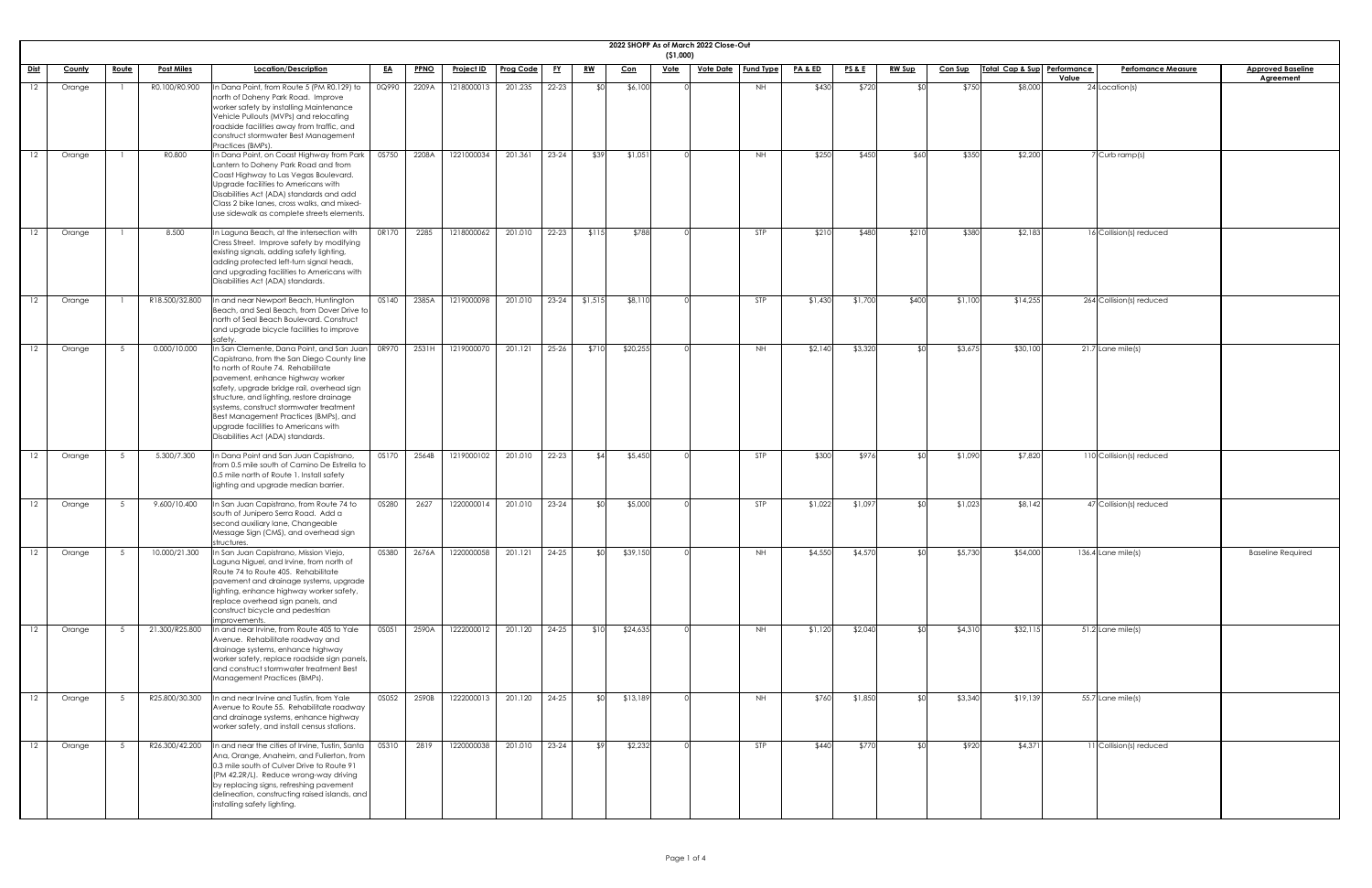|             |               |              |                   |                                                                                                                                                                                                                                                                                                                                                                                                                               |              |             |                                |                  |           |             |            | (51,000)    | 2022 SHOPP As of March 2022 Close-Out |                  |                    |                 |               |                |                             |                                    |                                              |
|-------------|---------------|--------------|-------------------|-------------------------------------------------------------------------------------------------------------------------------------------------------------------------------------------------------------------------------------------------------------------------------------------------------------------------------------------------------------------------------------------------------------------------------|--------------|-------------|--------------------------------|------------------|-----------|-------------|------------|-------------|---------------------------------------|------------------|--------------------|-----------------|---------------|----------------|-----------------------------|------------------------------------|----------------------------------------------|
| <u>Dist</u> | <b>County</b> | <u>Route</u> | <b>Post Miles</b> | Location/Description                                                                                                                                                                                                                                                                                                                                                                                                          | <u>EA</u>    | <b>PPNO</b> | Project ID                     | <b>Prog Code</b> | <u>FY</u> | <u>RW</u>   | <u>Con</u> | <u>Vote</u> | <u>Vote Date</u>                      | <b>Fund Type</b> | <b>PA &amp; ED</b> | <b>PS&amp;E</b> | <b>RW Sup</b> | <b>Con Sup</b> | Total Cap & Sup Performance | <b>Perfomance Measure</b><br>Value | <b>Approved Baseline</b><br><b>Agreement</b> |
| 12          | Orange        |              | R0.100/R0.900     | In Dana Point, from Route 5 (PM R0.129) to<br>north of Doheny Park Road. Improve<br>worker safety by installing Maintenance<br>Vehicle Pullouts (MVPs) and relocating<br>roadside facilities away from traffic, and<br>construct stormwater Best Management<br>Practices (BMPs).                                                                                                                                              | 0Q990        | 2209A       | 1218000013                     | 201.235          | $22 - 23$ |             | \$6,100    |             |                                       | <b>NH</b>        | \$430              | \$720           |               | \$750          | \$8,000                     | 24 Location(s)                     |                                              |
| 12          | Orange        |              | R0.800            | In Dana Point, on Coast Highway from Park<br>Lantern to Doheny Park Road and from<br>Coast Highway to Las Vegas Boulevard.<br>Upgrade facilities to Americans with<br>Disabilities Act (ADA) standards and add<br>Class 2 bike lanes, cross walks, and mixed-<br>use sidewalk as complete streets elements.                                                                                                                   | 0S750        | 2208A       | 1221000034                     | 201.361          | $23 - 24$ | \$39        | \$1,051    |             |                                       | <b>NH</b>        | \$250              | \$450           | \$60          | \$350          | \$2,200                     | Curb ramp(s)                       |                                              |
| 12          | Orange        |              | 8.500             | In Laguna Beach, at the intersection with<br>Cress Street. Improve safety by modifying<br>existing signals, adding safety lighting,<br>adding protected left-turn signal heads,<br>and upgrading facilities to Americans with<br>Disabilities Act (ADA) standards.                                                                                                                                                            | 0R170        | 2285        | 1218000062                     | 201.010          | $22 - 23$ | \$115       | \$788      |             |                                       | <b>STP</b>       | \$210              | \$480           | \$210         | \$380          | \$2,183                     | 16 Collision(s) reduced            |                                              |
| 12          | Orange        |              | R18.500/32.800    | In and near Newport Beach, Huntington<br>Beach, and Seal Beach, from Dover Drive to<br>north of Seal Beach Boulevard. Construct<br>and upgrade bicycle facilities to improve<br>safety                                                                                                                                                                                                                                        | OS140        | 2385A       | 1219000098                     | 201.010          | $23 - 24$ | \$1,515     | \$8,110    |             |                                       | STP              | \$1,430            | \$1,700         | \$400         | \$1,100        | \$14,255                    | 264 Collision(s) reduced           |                                              |
| 12          | Orange        |              | 0.000/10.000      | In San Clemente, Dana Point, and San Juan<br>Capistrano, from the San Diego County line<br>to north of Route 74. Rehabilitate<br>pavement, enhance highway worker<br>safety, upgrade bridge rail, overhead sign<br>structure, and lighting, restore drainage<br>systems, construct stormwater treatment<br>Best Management Practices (BMPs), and<br>upgrade facilities to Americans with<br>Disabilities Act (ADA) standards. | 0R970        | 2531H       | 1219000070                     | 201.121          | $25 - 26$ | \$710       | \$20,255   |             |                                       | NH               | \$2,140            | \$3,320         |               | \$3,675        | \$30,100                    | $21.7$ Lane mile(s)                |                                              |
| 12          | Orange        |              | 5.300/7.300       | In Dana Point and San Juan Capistrano,<br>from 0.5 mile south of Camino De Estrella to<br>0.5 mile north of Route 1. Install safety<br>lighting and upgrade median barrier.                                                                                                                                                                                                                                                   | 0S170        | 2564B       | 1219000102                     | 201.010          | 22-23     | - \$41      | \$5,450    |             |                                       | <b>STP</b>       | \$300              | \$976           |               | \$1,090        | \$7,820                     | 110 Collision(s) reduced           |                                              |
| 12          | Orange        |              | 9.600/10.400      | In San Juan Capistrano, from Route 74 to<br>south of Junipero Serra Road. Add a<br>second auxiliary lane, Changeable<br>Message Sign (CMS), and overhead sign<br>structures.                                                                                                                                                                                                                                                  | 0S280        | 2627        | 1220000014                     | 201.010          | $23 - 24$ | <b>\$01</b> | \$5,000    |             |                                       | <b>STP</b>       | \$1,022            | \$1,097         |               | \$1,023        | \$8,142                     | 47 Collision(s) reduced            |                                              |
| 12          | Orange        |              | 10.000/21.300     | In San Juan Capistrano, Mission Viejo,<br>Laguna Niguel, and Irvine, from north of<br>Route 74 to Route 405. Rehabilitate<br>pavement and drainage systems, upgrade<br>lighting, enhance highway worker safety,<br>replace overhead sign panels, and<br>construct bicycle and pedestrian<br>improvements.                                                                                                                     | <b>0S380</b> | 2676A       | 1220000058                     | 201.121          | $24 - 25$ |             | \$39,150   |             |                                       | NH               | \$4,550            | \$4,570         |               | \$5,730        | \$54,000                    | $136.4$ Lane mile(s)               | <b>Baseline Required</b>                     |
| 12          | Orange        |              | 21.300/R25.800    | In and near Irvine, from Route 405 to Yale<br>Avenue. Rehabilitate roadway and<br>drainage systems, enhance highway<br>worker safety, replace roadside sign panels,<br>and construct stormwater treatment Best<br>Management Practices (BMPs).                                                                                                                                                                                | OSO51        | 2590A       | 1222000012                     | 201.120          | 24-25     | \$10        | \$24,635   |             |                                       | NH               | \$1,120            | \$2,040         |               | \$4,310        | \$32,115                    | 51.2 Lane mile(s)                  |                                              |
| 12          | Orange        |              |                   | R25.800/30.300  In and near Irvine and Tustin, from Yale<br>Avenue to Route 55. Rehabilitate roadway<br>and drainage systems, enhance highway<br>worker safety, and install census stations.                                                                                                                                                                                                                                  | 0S052        |             | 2590B 1222000013 201.120 24-25 |                  |           | \$0         | \$13,189   |             |                                       | NH.              | \$760              | \$1,850         |               | \$3,340        | \$19,139                    | $55.7$ Lane mile(s)                |                                              |
| 12          | Orange        |              |                   | R26.300/42.200  In and near the cities of Irvine, Tustin, Santa  <br>Ana, Orange, Anaheim, and Fullerton, from<br>0.3 mile south of Culver Drive to Route 91<br>(PM 42.2R/L). Reduce wrong-way driving<br>by replacing signs, refreshing pavement<br>delineation, constructing raised islands, and<br>installing safety lighting.                                                                                             | 0S310        | 2819        | 1220000038                     | 201.010          | $23 - 24$ | <b>\$9</b>  | \$2,232    |             |                                       | <b>STP</b>       | \$440              | \$770           |               | \$920          | \$4,371                     | $11$ Collision(s) reduced          |                                              |

| ֚֘֝ |
|-----|
|     |
|     |
|     |
|     |
|     |
|     |
|     |
|     |
|     |
|     |
|     |
|     |
|     |
|     |
|     |
|     |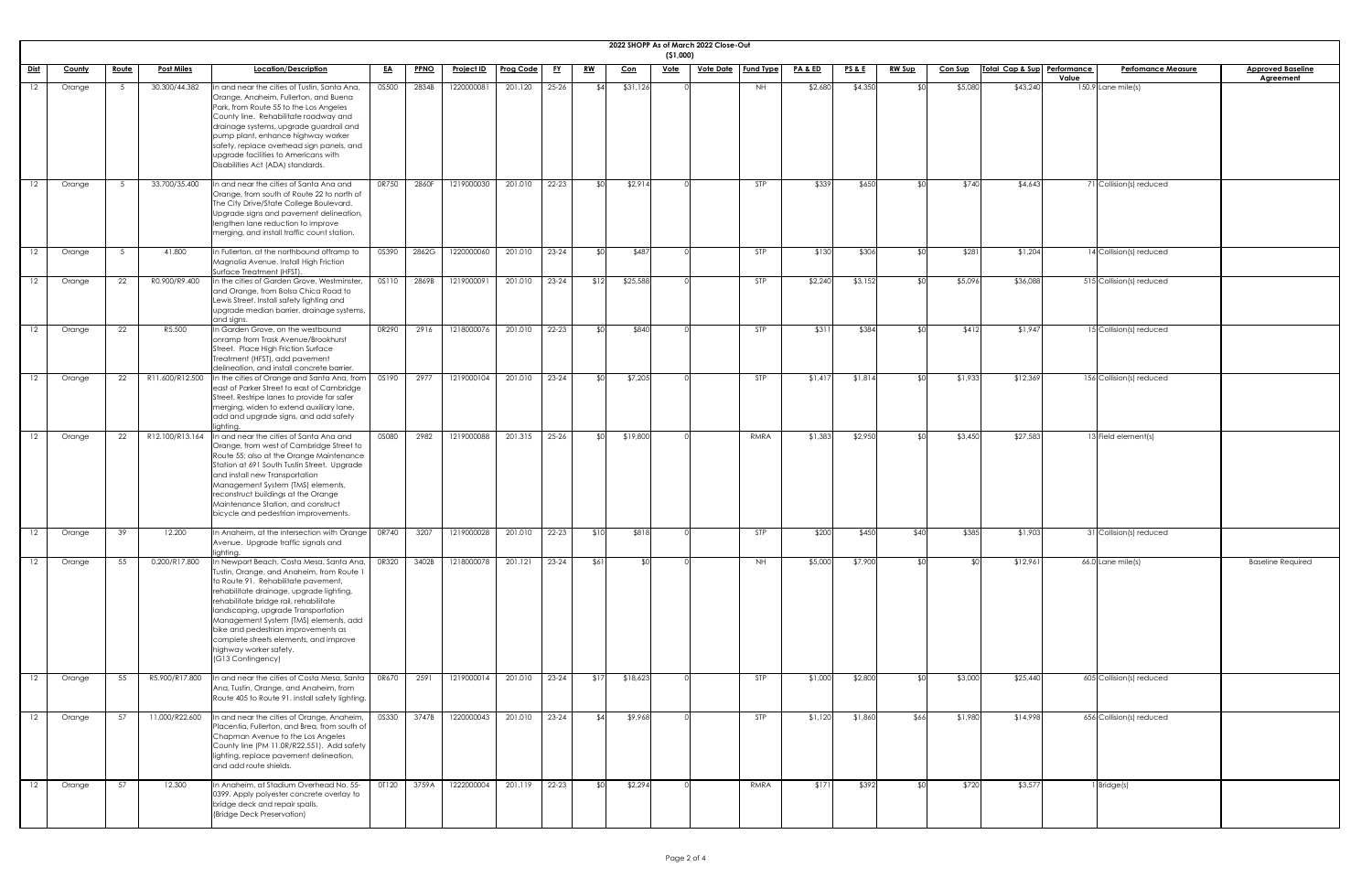|             |        |              |                   |                                                                                                                                                                                                                                                                                                                                                                                                                                    |              |             |                   |                  |           |             |            | (51,000)    | 2022 SHOPP As of March 2022 Close-Out |                  |                    |                 |               |                |                             |                                    |                          |
|-------------|--------|--------------|-------------------|------------------------------------------------------------------------------------------------------------------------------------------------------------------------------------------------------------------------------------------------------------------------------------------------------------------------------------------------------------------------------------------------------------------------------------|--------------|-------------|-------------------|------------------|-----------|-------------|------------|-------------|---------------------------------------|------------------|--------------------|-----------------|---------------|----------------|-----------------------------|------------------------------------|--------------------------|
| <u>Dist</u> | County | <u>Route</u> | <b>Post Miles</b> | Location/Description                                                                                                                                                                                                                                                                                                                                                                                                               | <u>EA</u>    | <b>PPNO</b> | <u>Project ID</u> | <b>Prog Code</b> | <u>FY</u> | <u>RW</u>   | <u>Con</u> | <u>Vote</u> | <u>Vote Date</u>                      | <b>Fund Type</b> | <b>PA &amp; ED</b> | <b>PS&amp;E</b> | <b>RW Sup</b> | <b>Con Sup</b> | Total Cap & Sup Performance | <b>Perfomance Measure</b><br>Value | <b>Approved Baseline</b> |
| 12          | Orange |              | 30.300/44.382     | In and near the cities of Tustin, Santa Ana,<br>Orange, Anaheim, Fullerton, and Buena<br>Park, from Route 55 to the Los Angeles<br>County line. Rehabilitate roadway and<br>drainage systems, upgrade guardrail and<br>pump plant, enhance highway worker<br>safety, replace overhead sign panels, and<br>upgrade facilities to Americans with<br>Disabilities Act (ADA) standards.                                                | 0S500        | 2834B       | 1220000081        | 201.120          | $25 - 26$ | \$4         | \$31,126   |             |                                       | NH               | \$2,680            | \$4,350         |               | \$5,080        | \$43,240                    | $150.9$ Lane mile(s)               | <b>Agreement</b>         |
| 12          | Orange |              | 33.700/35.400     | n and near the cities of Santa Ana and<br>Orange, from south of Route 22 to north of<br>The City Drive/State College Boulevard.<br>Upgrade signs and pavement delineation,<br>lengthen lane reduction to improve<br>merging, and install traffic count station.                                                                                                                                                                    | 0R750        | 2860F       | 1219000030        | 201.010          | $22 - 23$ | ⊀∩          | \$2,914    |             |                                       | STP              | \$339              | \$650           |               | \$740          | \$4,643                     | 71 Collision(s) reduced            |                          |
| 12          | Orange |              | 41.800            | In Fullerton, at the northbound offramp to<br>Magnolia Avenue. Install High Friction<br>Surface Treatment (HFST).                                                                                                                                                                                                                                                                                                                  | 0S390        | 2862G       | 1220000060        | 201.010          | $23 - 24$ | ዳበ          | \$487      |             |                                       | STP              | \$130              | \$306           |               | \$281          | \$1,204                     | 14 Collision(s) reduced            |                          |
| 12          | Orange | 22           | R0.900/R9.400     | In the cities of Garden Grove, Westminster,<br>and Orange, from Bolsa Chica Road to<br>Lewis Street. Install safety lighting and<br>upgrade median barrier, drainage systems,<br>and signs.                                                                                                                                                                                                                                        | <b>OS110</b> | 2869B       | 1219000091        | 201.010          | $23 - 24$ | \$12        | \$25,588   |             |                                       | STP              | \$2,240            | \$3,152         |               | \$5,096        | \$36,088                    | 515 Collision(s) reduced           |                          |
|             | Orange | 22           | R5.500            | In Garden Grove, on the westbound<br>onramp from Trask Avenue/Brookhurst<br>Street. Place High Friction Surface<br>Treatment (HFST), add pavement<br>delineation, and install concrete barrier.                                                                                                                                                                                                                                    | OR290        | 2916        | 1218000076        | 201.010          | $22 - 23$ | ያበ          | \$840      |             |                                       | STP              | \$311              | \$384           |               | \$412          | \$1,947                     | 15 Collision(s) reduced            |                          |
| 12          | Orange | 22           | R11.600/R12.500   | In the cities of Orange and Santa Ana, from<br>east of Parker Street to east of Cambridge<br>Street. Restripe lanes to provide for safer<br>merging, widen to extend auxiliary lane,<br>add and upgrade signs, and add safety<br>lighting.                                                                                                                                                                                         | OS190        | 2977        | 1219000104        | 201.010          | $23 - 24$ | \$0         | \$7,205    |             |                                       | <b>STP</b>       | \$1,417            | \$1,814         |               | \$1,933        | \$12,369                    | 156 Collision(s) reduced           |                          |
| 12          | Orange | 22           | R12.100/R13.164   | In and near the cities of Santa Ana and<br>Orange, from west of Cambridge Street to<br>Route 55; also at the Orange Maintenance<br>Station at 691 South Tustin Street. Upgrade<br>and install new Transportation<br>Management System (TMS) elements,<br>reconstruct buildings at the Orange<br>Maintenance Station, and construct<br>bicycle and pedestrian improvements.                                                         | 0S080        | 2982        | 1219000088        | 201.315          | $25 - 26$ | <b>\$01</b> | \$19,800   |             |                                       | RMRA             | \$1,383            | \$2,950         |               | \$3,450        | \$27,583                    | 13 Field element(s)                |                          |
| 12          | Orange | 39           | 12.200            | In Anaheim, at the intersection with Orange<br>Avenue. Upgrade traffic signals and<br>lighting.                                                                                                                                                                                                                                                                                                                                    | 0R740        | 3207        | 1219000028        | 201.010          | 22-23     | \$10        | \$818      |             |                                       | STP              | \$200              | \$450           | \$40          | \$385          | \$1,903                     | 31 Collision(s) reduced            |                          |
|             | Orange | 55           | 0.200/R17.800     | In Newport Beach, Costa Mesa, Santa Ana,<br>Tustin, Orange, and Anaheim, from Route 1<br>to Route 91. Rehabilitate pavement,<br>rehabilitate drainage, upgrade lighting,<br>rehabilitate bridge rail, rehabilitate<br>landscaping, upgrade Transportation<br>Management System (TMS) elements, add<br>bike and pedestrian improvements as<br>complete streets elements, and improve<br>highway worker safety.<br>(G13 Contingency) | 0R320        | 3402B       | 1218000078        | 201.121          | $23 - 24$ | \$61]       | SOI        |             |                                       | NH               | \$5,000            | \$7,900         |               | <b>\$0</b>     | \$12,961                    | $66.0$ Lane mile(s)                | <b>Baseline Required</b> |
| 12          | Orange | 55           | R5.900/R17.800    | In and near the cities of Costa Mesa, Santa<br>Ana, Tustin, Orange, and Anaheim, from<br>Route 405 to Route 91. Install safety lighting.                                                                                                                                                                                                                                                                                           | 0R670        | 2591        | 1219000014        | 201.010          | $23 - 24$ | \$17        | \$18,623   |             |                                       | STP              | \$1,000            | \$2,800         |               | \$3,000        | \$25,440                    | 605 Collision(s) reduced           |                          |
| 12          | Orange | 57           | 11.000/R22.600    | In and near the cities of Orange, Anaheim,<br>Placentia, Fullerton, and Brea, from south of<br>Chapman Avenue to the Los Angeles<br>County line (PM 11.0R/R22.551). Add safety<br>lighting, replace pavement delineation,<br>and add route shields.                                                                                                                                                                                | 0S330        | 3747B       | 1220000043        | 201.010          | 23-24     | \$4         | \$9,968    |             |                                       | <b>STP</b>       | \$1,120            | \$1,860         | \$66          | \$1,980        | \$14,998                    | 656 Collision(s) reduced           |                          |
| 12          | Orange | 57           | 12.300            | In Anaheim, at Stadium Overhead No. 55-<br>0399. Apply polyester concrete overlay to<br>bridge deck and repair spalls.<br>(Bridge Deck Preservation)                                                                                                                                                                                                                                                                               | OT120        | 3759A       | 1222000004        | 201.119          | 22-23     | <b>\$0</b>  | \$2,294    |             |                                       | RMRA             | \$171              | \$392           |               | \$720          | \$3,577                     | Bridge(s)                          |                          |

| <u>ine</u> |  |
|------------|--|
|            |  |
|            |  |
|            |  |
|            |  |
|            |  |
|            |  |
|            |  |
|            |  |
|            |  |
|            |  |
|            |  |
|            |  |
|            |  |
|            |  |
|            |  |
|            |  |
|            |  |
|            |  |
|            |  |
|            |  |
|            |  |
|            |  |
|            |  |
|            |  |
| d<br>ŕ     |  |
|            |  |
|            |  |
|            |  |
|            |  |
|            |  |
|            |  |
|            |  |
|            |  |
|            |  |
|            |  |
|            |  |
|            |  |
|            |  |
|            |  |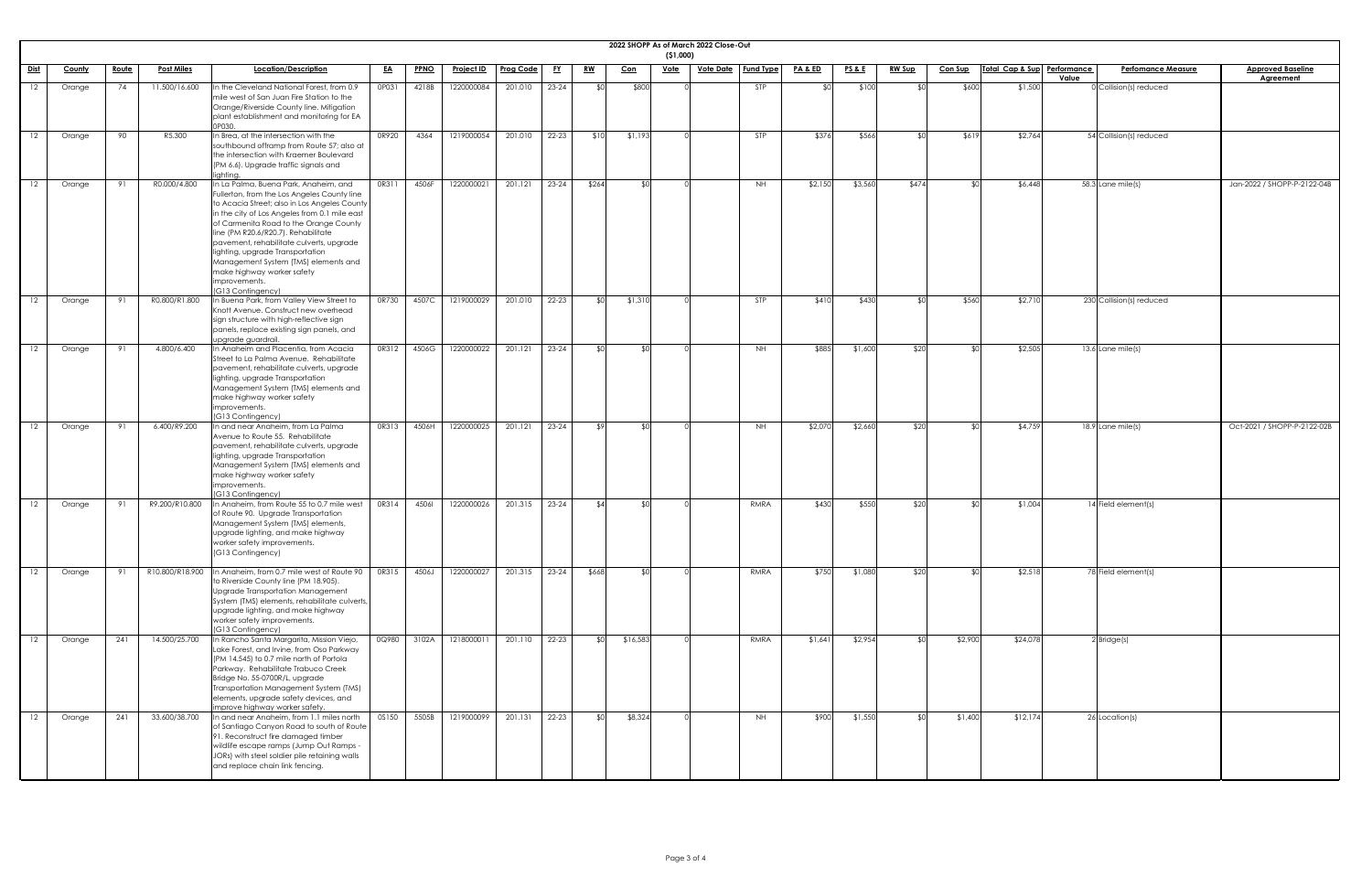|                 | 2022 SHOPP As of March 2022 Close-Out<br>(51,000) |              |                   |                                                                                                                                                                                                                                                                                                                                                                                                                                                                    |           |             |                   |           |           |                 |            |             |                  |                  |                    |                 |               |                |                             |       |                           |                                              |
|-----------------|---------------------------------------------------|--------------|-------------------|--------------------------------------------------------------------------------------------------------------------------------------------------------------------------------------------------------------------------------------------------------------------------------------------------------------------------------------------------------------------------------------------------------------------------------------------------------------------|-----------|-------------|-------------------|-----------|-----------|-----------------|------------|-------------|------------------|------------------|--------------------|-----------------|---------------|----------------|-----------------------------|-------|---------------------------|----------------------------------------------|
| <u>Dist</u>     | <u>County</u>                                     | <u>Route</u> | <b>Post Miles</b> | Location/Description                                                                                                                                                                                                                                                                                                                                                                                                                                               | <u>EA</u> | <b>PPNO</b> | <b>Project ID</b> | Prog Code | <u>EY</u> | <u>RW</u>       | <u>Con</u> | <u>Vote</u> | <u>Vote Date</u> | <b>Fund Type</b> | <u>PA &amp; ED</u> | <u>PS&amp;E</u> | <u>RW Sup</u> | <b>Con Sup</b> | Total Cap & Sup Performance | Value | <b>Perfomance Measure</b> | <b>Approved Baseline</b><br><b>Agreement</b> |
|                 | Orange                                            | 74           | 11.500/16.600     | In the Cleveland National Forest, from 0.9<br>mile west of San Juan Fire Station to the<br>Orange/Riverside County line. Mitigation<br>plant establishment and monitoring for EA<br>P030                                                                                                                                                                                                                                                                           | 0P031     | 4218B       | 1220000084        | 201.010   | 23-24     | ደበ              | \$800      |             |                  | STP              |                    | \$100           |               | \$600          | \$1,500                     |       | $0$ Collision(s) reduced  |                                              |
| $12 \,$         | Orange                                            | 90           | R5.300            | In Brea, at the intersection with the<br>southbound offramp from Route 57; also at<br>the intersection with Kraemer Boulevard<br>(PM 6.6). Upgrade traffic signals and<br>lighting.                                                                                                                                                                                                                                                                                | 0R920     | 4364        | 1219000054        | 201.010   | 22-23     | \$10            | \$1,193    |             |                  | STP              | \$376              | \$566           |               | \$619          | \$2,764                     |       | 54 Collision(s) reduced   |                                              |
| 12              | Orange                                            | 91           | R0.000/4.800      | In La Palma, Buena Park, Anaheim, and<br>Fullerton, from the Los Angeles County line<br>to Acacia Street; also in Los Angeles County<br>in the city of Los Angeles from 0.1 mile east<br>of Carmenita Road to the Orange County<br>line (PM R20.6/R20.7). Rehabilitate<br>pavement, rehabilitate culverts, upgrade<br>lighting, upgrade Transportation<br>Management System (TMS) elements and<br>make highway worker safety<br>improvements.<br>(G13 Contingency) | OR311     | 4506F       | 1220000021        | 201.121   | 23-24     | \$264           |            |             |                  | NH.              | \$2,150            | \$3,560         | \$474         | $\mathfrak{C}$ | \$6,448                     |       | 58.3 Lane mile(s)         | Jan-2022 / SHOPP-P-2122-04B                  |
| 12 <sup>2</sup> | Orange                                            | 91           | R0.800/R1.800     | In Buena Park, from Valley View Street to<br>Knott Avenue. Construct new overhead<br>sign structure with high-reflective sign<br>panels, replace existing sign panels, and<br>upgrade guardrail.                                                                                                                                                                                                                                                                   | 0R730     | 4507C       | 1219000029        | 201.010   | 22-23     | $\mathfrak{C}$  | \$1,310    |             |                  | <b>STP</b>       | \$410              | \$430           |               | \$560          | \$2,710                     |       | 230 Collision(s) reduced  |                                              |
|                 | Orange                                            | 91           | 4.800/6.400       | In Anaheim and Placentia, from Acacia<br>Street to La Palma Avenue. Rehabilitate<br>pavement, rehabilitate culverts, upgrade<br>lighting, upgrade Transportation<br>Management System (TMS) elements and<br>make highway worker safety<br>improvements.<br>(G13 Contingency)                                                                                                                                                                                       | OR312     | 4506G       | 1220000022        | 201.121   | $23 - 24$ | ⊄∩              |            |             |                  | NH.              | \$885              | \$1,600         | \$20          | ⊄∩             | \$2,505                     |       | 13.6 Lane mile(s)         |                                              |
|                 | Orange                                            | 91           | 6.400/R9.200      | In and near Anaheim, from La Palma<br>Avenue to Route 55. Rehabilitate<br>pavement, rehabilitate culverts, upgrade<br>lighting, upgrade Transportation<br>Management System (TMS) elements and<br>make highway worker safety<br>improvements.<br>(G13 Contingency)                                                                                                                                                                                                 | OR313     | 4506H       | 1220000025        | 201.121   | $23 - 24$ | $\sqrt{2}$      | − ⊄∩       |             |                  | NH.              | \$2,070            | \$2,660         | \$20          | ו∩⊅            | \$4,759                     |       | 18.9 Lane mile(s)         | Oct-2021 / SHOPP-P-2122-02B                  |
| 12              | Orange                                            | 91           | R9.200/R10.800    | In Anaheim, from Route 55 to 0.7 mile west<br>of Route 90. Upgrade Transportation<br>Management System (TMS) elements,<br>upgrade lighting, and make highway<br>worker safety improvements.<br>(G13 Contingency)                                                                                                                                                                                                                                                   | OR314     | 45061       | 1220000026        | 201.315   | 23-24     | ∣4.4            | _ ⊄∩       |             |                  | RMRA             | \$430              | \$550           | \$20          | ו∩⊅            | \$1,004                     |       | 14 Field element(s)       |                                              |
|                 | Orange                                            | - 91         | R10.800/R18.900   | In Anaheim, from 0.7 mile west of Route 90<br>to Riverside County line (PM 18.905).<br>Upgrade Transportation Management<br>System (TMS) elements, rehabilitate culverts,<br>upgrade lighting, and make highway<br>worker safety improvements.<br>(G13 Contingency)                                                                                                                                                                                                | OR315     | 4506J       | 1220000027        | 201.315   | 23-24     | \$668           | -\$01      |             |                  | RMRA             | \$750              | \$1,080         | \$20          | ו∩⊅            | \$2,518                     |       | 78 Field element(s)       |                                              |
| 12 <sup>2</sup> | Orange                                            | 241          | 14.500/25.700     | In Rancho Santa Margarita, Mission Viejo,<br>Lake Forest, and Irvine, from Oso Parkway<br>(PM 14.545) to 0.7 mile north of Portola<br>Parkway. Rehabilitate Trabuco Creek<br>Bridge No. 55-0700R/L, upgrade<br>Transportation Management System (TMS)<br>elements, upgrade safety devices, and<br>improve highway worker safety.                                                                                                                                   | 0Q980     | 3102A       | 1218000011        | 201.110   | $22 - 23$ | SO <sub>1</sub> | \$16,583   |             |                  | RMRA             | \$1,641            | \$2,954         |               | \$2,900        | \$24,078                    |       | $2$ Bridge $(s)$          |                                              |
| 12              | Orange                                            | 241          | 33.600/38.700     | In and near Anaheim, from 1.1 miles north<br>of Santiago Canyon Road to south of Route<br>91. Reconstruct fire damaged timber<br>wildlife escape ramps (Jump Out Ramps -<br>JORs) with steel soldier pile retaining walls<br>and replace chain link fencing.                                                                                                                                                                                                       | OS150     | 5505B       | 1219000099        | 201.131   | 22-23     | SO <sub>1</sub> | \$8,324    |             |                  | <b>NH</b>        | \$900              | \$1,550         |               | \$1,400        | \$12,174                    |       | 26 Location(s)            |                                              |

| $\overline{\text{ne}}$ |  |
|------------------------|--|
|                        |  |
|                        |  |
|                        |  |
|                        |  |
|                        |  |
| $\frac{122 - 04B}{2}$  |  |
|                        |  |
|                        |  |
|                        |  |
|                        |  |
|                        |  |
|                        |  |
|                        |  |
|                        |  |
|                        |  |
|                        |  |
|                        |  |
| 122-02B                |  |
|                        |  |
|                        |  |
|                        |  |
|                        |  |
|                        |  |
|                        |  |
|                        |  |
|                        |  |
|                        |  |
|                        |  |
|                        |  |
|                        |  |
|                        |  |
|                        |  |
|                        |  |
|                        |  |
|                        |  |
|                        |  |